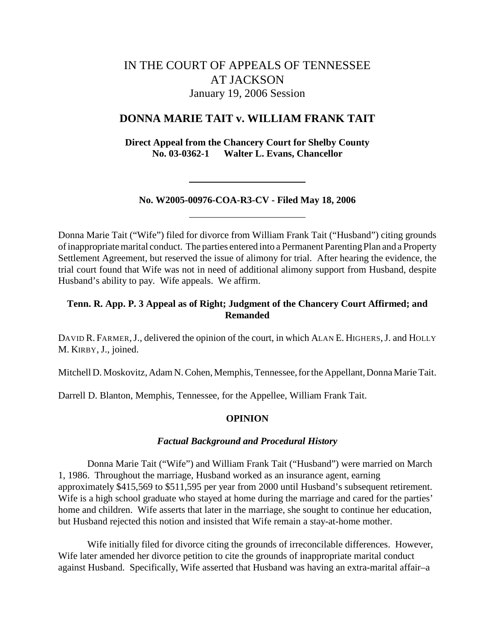# IN THE COURT OF APPEALS OF TENNESSEE AT JACKSON January 19, 2006 Session

# **DONNA MARIE TAIT v. WILLIAM FRANK TAIT**

**Direct Appeal from the Chancery Court for Shelby County No. 03-0362-1 Walter L. Evans, Chancellor**

# **No. W2005-00976-COA-R3-CV - Filed May 18, 2006**

Donna Marie Tait ("Wife") filed for divorce from William Frank Tait ("Husband") citing grounds of inappropriate marital conduct. The parties entered into a Permanent Parenting Plan and a Property Settlement Agreement, but reserved the issue of alimony for trial. After hearing the evidence, the trial court found that Wife was not in need of additional alimony support from Husband, despite Husband's ability to pay. Wife appeals. We affirm.

# **Tenn. R. App. P. 3 Appeal as of Right; Judgment of the Chancery Court Affirmed; and Remanded**

DAVID R. FARMER, J., delivered the opinion of the court, in which ALAN E. HIGHERS, J. and HOLLY M. KIRBY, J., joined.

Mitchell D. Moskovitz, Adam N. Cohen, Memphis, Tennessee, for the Appellant, Donna Marie Tait.

Darrell D. Blanton, Memphis, Tennessee, for the Appellee, William Frank Tait.

# **OPINION**

#### *Factual Background and Procedural History*

Donna Marie Tait ("Wife") and William Frank Tait ("Husband") were married on March 1, 1986. Throughout the marriage, Husband worked as an insurance agent, earning approximately \$415,569 to \$511,595 per year from 2000 until Husband's subsequent retirement. Wife is a high school graduate who stayed at home during the marriage and cared for the parties' home and children.Wife asserts that later in the marriage, she sought to continue her education, but Husband rejected this notion and insisted that Wife remain a stay-at-home mother.

Wife initially filed for divorce citing the grounds of irreconcilable differences.However, Wife later amended her divorce petition to cite the grounds of inappropriate marital conduct against Husband. Specifically, Wife asserted that Husband was having an extra-marital affair–a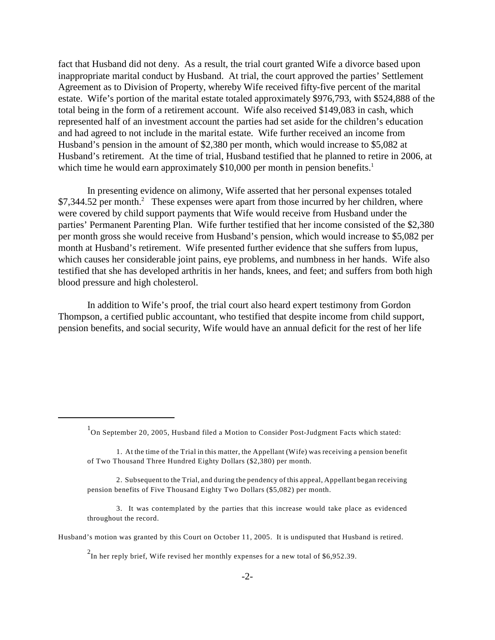fact that Husband did not deny. As a result, the trial court granted Wife a divorce based upon inappropriate marital conduct by Husband.At trial, the court approved the parties' Settlement Agreement as to Division of Property, whereby Wife received fifty-five percent of the marital estate. Wife's portion of the marital estate totaled approximately \$976,793, with \$524,888 of the total being in the form of a retirement account. Wife also received \$149,083 in cash, which represented half of an investment account the parties had set aside for the children's education and had agreed to not include in the marital estate.Wife further received an income from Husband's pension in the amount of \$2,380 per month, which would increase to \$5,082 at Husband's retirement. At the time of trial, Husband testified that he planned to retire in 2006, at which time he would earn approximately \$10,000 per month in pension benefits.<sup>1</sup>

In presenting evidence on alimony, Wife asserted that her personal expenses totaled  $$7,344.52$  per month.<sup>2</sup> These expenses were apart from those incurred by her children, where were covered by child support payments that Wife would receive from Husband under the parties' Permanent Parenting Plan. Wife further testified that her income consisted of the \$2,380 per month gross she would receive from Husband's pension, which would increase to \$5,082 per month at Husband's retirement.Wife presented further evidence that she suffers from lupus, which causes her considerable joint pains, eye problems, and numbness in her hands. Wife also testified that she has developed arthritis in her hands, knees, and feet; and suffers from both high blood pressure and high cholesterol.

In addition to Wife's proof, the trial court also heard expert testimony from Gordon Thompson, a certified public accountant, who testified that despite income from child support, pension benefits, and social security, Wife would have an annual deficit for the rest of her life

- 2. Subsequent to the Trial, and during the pendency of this appeal, Appellant began receiving pension benefits of Five Thousand Eighty Two Dollars (\$5,082) per month.
- 3. It was contemplated by the parties that this increase would take place as evidenced throughout the record.

 $\rm_{On}^{1}$  September 20, 2005, Husband filed a Motion to Consider Post-Judgment Facts which stated:

<sup>1.</sup> At the time of the Trial in this matter, the Appellant (Wife) was receiving a pension benefit of Two Thousand Three Hundred Eighty Dollars (\$2,380) per month.

Husband's motion was granted by this Court on October 11, 2005. It is undisputed that Husband is retired.

 $^{2}$ In her reply brief, Wife revised her monthly expenses for a new total of \$6,952.39.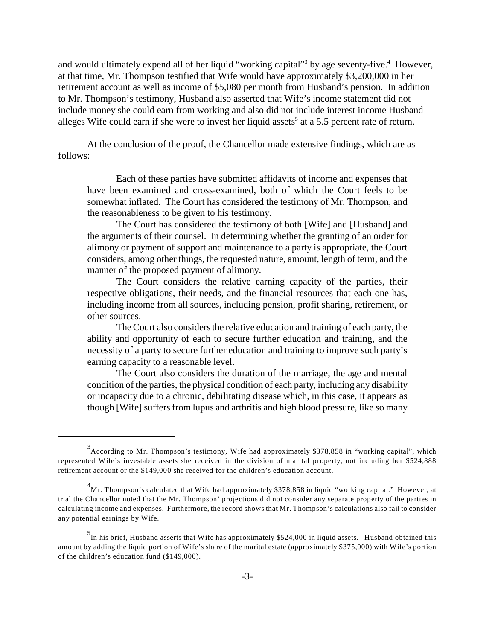and would ultimately expend all of her liquid "working capital"<sup>3</sup> by age seventy-five.<sup>4</sup> However, at that time, Mr. Thompson testified that Wife would have approximately \$3,200,000 in her retirement account as well as income of \$5,080 per month from Husband's pension. In addition to Mr. Thompson's testimony, Husband also asserted that Wife's income statement did not include money she could earn from working and also did not include interest income Husband alleges Wife could earn if she were to invest her liquid assets<sup>5</sup> at a 5.5 percent rate of return.

At the conclusion of the proof, the Chancellor made extensive findings, which are as follows:

Each of these parties have submitted affidavits of income and expenses that have been examined and cross-examined, both of which the Court feels to be somewhat inflated. The Court has considered the testimony of Mr. Thompson, and the reasonableness to be given to his testimony.

The Court has considered the testimony of both [Wife] and [Husband] and the arguments of their counsel. In determining whether the granting of an order for alimony or payment of support and maintenance to a party is appropriate, the Court considers, among other things, the requested nature, amount, length of term, and the manner of the proposed payment of alimony.

The Court considers the relative earning capacity of the parties, their respective obligations, their needs, and the financial resources that each one has, including income from all sources, including pension, profit sharing, retirement, or other sources.

The Court also considers the relative education and training of each party, the ability and opportunity of each to secure further education and training, and the necessity of a party to secure further education and training to improve such party's earning capacity to a reasonable level.

The Court also considers the duration of the marriage, the age and mental condition of the parties, the physical condition of each party, including any disability or incapacity due to a chronic, debilitating disease which, in this case, it appears as though [Wife] suffers from lupus and arthritis and high blood pressure, like so many

<sup>&</sup>lt;sup>3</sup> According to Mr. Thompson's testimony, Wife had approximately \$378,858 in "working capital", which represented Wife's investable assets she received in the division of marital property, not including her \$524,888 retirement account or the \$149,000 she received for the children's education account.

 $^4$ Mr. Thompson's calculated that Wife had approximately \$378,858 in liquid "working capital." However, at trial the Chancellor noted that the Mr. Thompson' projections did not consider any separate property of the parties in calculating income and expenses. Furthermore, the record shows that Mr. Thompson's calculations also fail to consider any potential earnings by Wife.

In his brief, Husband asserts that Wife has approximately \$524,000 in liquid assets. Husband obtained this amount by adding the liquid portion of Wife's share of the marital estate (approximately \$375,000) with Wife's portion of the children's education fund (\$149,000).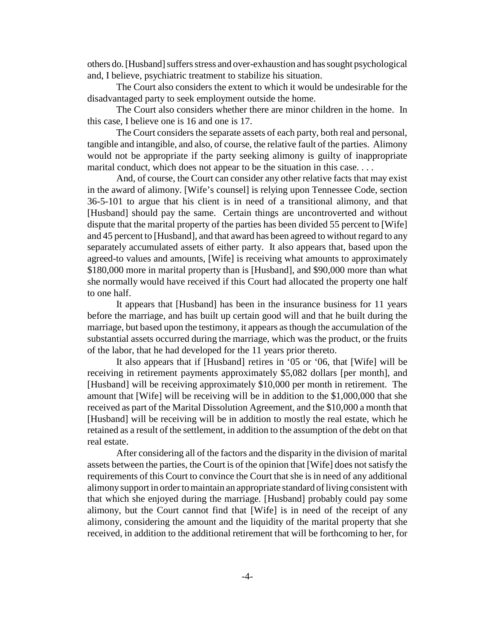others do. [Husband] suffers stress and over-exhaustion and has sought psychological and, I believe, psychiatric treatment to stabilize his situation.

The Court also considers the extent to which it would be undesirable for the disadvantaged party to seek employment outside the home.

The Court also considers whether there are minor children in the home. In this case, I believe one is 16 and one is 17.

The Court considers the separate assets of each party, both real and personal, tangible and intangible, and also, of course, the relative fault of the parties. Alimony would not be appropriate if the party seeking alimony is guilty of inappropriate marital conduct, which does not appear to be the situation in this case....

And, of course, the Court can consider any other relative facts that may exist in the award of alimony. [Wife's counsel] is relying upon Tennessee Code, section 36-5-101 to argue that his client is in need of a transitional alimony, and that [Husband] should pay the same. Certain things are uncontroverted and without dispute that the marital property of the parties has been divided 55 percent to [Wife] and 45 percent to [Husband], and that award has been agreed to without regard to any separately accumulated assets of either party. It also appears that, based upon the agreed-to values and amounts, [Wife] is receiving what amounts to approximately \$180,000 more in marital property than is [Husband], and \$90,000 more than what she normally would have received if this Court had allocated the property one half to one half.

It appears that [Husband] has been in the insurance business for 11 years before the marriage, and has built up certain good will and that he built during the marriage, but based upon the testimony, it appears as though the accumulation of the substantial assets occurred during the marriage, which was the product, or the fruits of the labor, that he had developed for the 11 years prior thereto.

It also appears that if [Husband] retires in '05 or '06, that [Wife] will be receiving in retirement payments approximately \$5,082 dollars [per month], and [Husband] will be receiving approximately \$10,000 per month in retirement. The amount that [Wife] will be receiving will be in addition to the \$1,000,000 that she received as part of the Marital Dissolution Agreement, and the \$10,000 a month that [Husband] will be receiving will be in addition to mostly the real estate, which he retained as a result of the settlement, in addition to the assumption of the debt on that real estate.

After considering all of the factors and the disparity in the division of marital assets between the parties, the Court is of the opinion that [Wife] does not satisfy the requirements of this Court to convince the Court that she is in need of any additional alimony support in order to maintain an appropriate standard of living consistent with that which she enjoyed during the marriage. [Husband] probably could pay some alimony, but the Court cannot find that [Wife] is in need of the receipt of any alimony, considering the amount and the liquidity of the marital property that she received, in addition to the additional retirement that will be forthcoming to her, for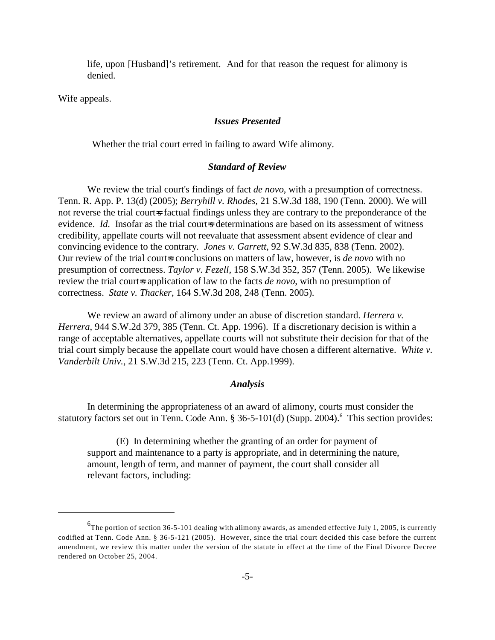life, upon [Husband]'s retirement. And for that reason the request for alimony is denied.

Wife appeals.

# *Issues Presented*

Whether the trial court erred in failing to award Wife alimony.

#### *Standard of Review*

We review the trial court's findings of fact *de novo*, with a presumption of correctness. Tenn. R. App. P. 13(d) (2005); *Berryhill v. Rhodes*, 21 S.W.3d 188, 190 (Tenn. 2000). We will not reverse the trial court=s factual findings unless they are contrary to the preponderance of the evidence. *Id.* Insofar as the trial court-s determinations are based on its assessment of witness credibility, appellate courts will not reevaluate that assessment absent evidence of clear and convincing evidence to the contrary. *Jones v. Garrett*, 92 S.W.3d 835, 838 (Tenn. 2002). Our review of the trial court-s conclusions on matters of law, however, is *de novo* with no presumption of correctness. *Taylor v. Fezell,* 158 S.W.3d 352, 357 (Tenn. 2005).We likewise review the trial court=s application of law to the facts *de novo*, with no presumption of correctness. *State v. Thacker*, 164 S.W.3d 208, 248 (Tenn. 2005).

We review an award of alimony under an abuse of discretion standard. *Herrera v. Herrera*, 944 S.W.2d 379, 385 (Tenn. Ct. App. 1996). If a discretionary decision is within a range of acceptable alternatives, appellate courts will not substitute their decision for that of the trial court simply because the appellate court would have chosen a different alternative. *White v. Vanderbilt Univ.*, 21 S.W.3d 215, 223 (Tenn. Ct. App.1999).

#### *Analysis*

In determining the appropriateness of an award of alimony, courts must consider the statutory factors set out in Tenn. Code Ann.  $\S 36-5-101(d)$  (Supp. 2004). <sup>6</sup> This section provides:

(E) In determining whether the granting of an order for payment of support and maintenance to a party is appropriate, and in determining the nature, amount, length of term, and manner of payment, the court shall consider all relevant factors, including:

 ${}^{6}$ The portion of section 36-5-101 dealing with alimony awards, as amended effective July 1, 2005, is currently codified at Tenn. Code Ann. § 36-5-121 (2005). However, since the trial court decided this case before the current amendment, we review this matter under the version of the statute in effect at the time of the Final Divorce Decree rendered on October 25, 2004.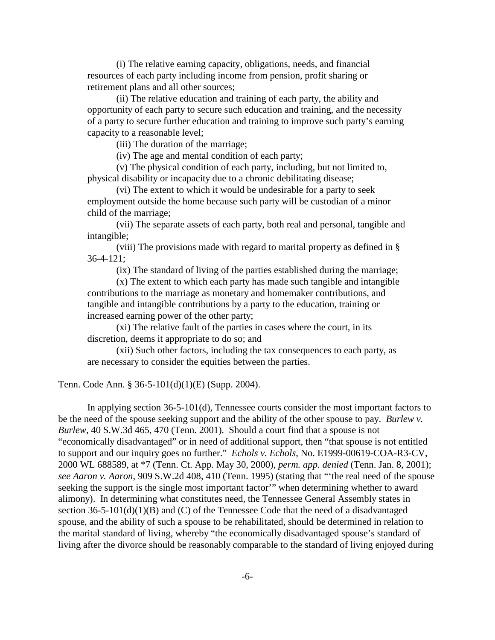(i) The relative earning capacity, obligations, needs, and financial resources of each party including income from pension, profit sharing or retirement plans and all other sources;

(ii) The relative education and training of each party, the ability and opportunity of each party to secure such education and training, and the necessity of a party to secure further education and training to improve such party's earning capacity to a reasonable level;

(iii) The duration of the marriage;

(iv) The age and mental condition of each party;

(v) The physical condition of each party, including, but not limited to, physical disability or incapacity due to a chronic debilitating disease;

(vi) The extent to which it would be undesirable for a party to seek employment outside the home because such party will be custodian of a minor child of the marriage;

(vii) The separate assets of each party, both real and personal, tangible and intangible;

(viii) The provisions made with regard to marital property as defined in § 36-4-121;

(ix) The standard of living of the parties established during the marriage;

(x) The extent to which each party has made such tangible and intangible contributions to the marriage as monetary and homemaker contributions, and tangible and intangible contributions by a party to the education, training or increased earning power of the other party;

(xi) The relative fault of the parties in cases where the court, in its discretion, deems it appropriate to do so; and

(xii) Such other factors, including the tax consequences to each party, as are necessary to consider the equities between the parties.

Tenn. Code Ann. § 36-5-101(d)(1)(E) (Supp. 2004).

In applying section 36-5-101(d), Tennessee courts consider the most important factors to be the need of the spouse seeking support and the ability of the other spouse to pay. *Burlew v. Burlew*, 40 S.W.3d 465, 470 (Tenn. 2001). Should a court find that a spouse is not "economically disadvantaged" or in need of additional support, then "that spouse is not entitled to support and our inquiry goes no further." *Echols v. Echols*, No. E1999-00619-COA-R3-CV, 2000 WL 688589, at \*7 (Tenn. Ct. App. May 30, 2000), *perm. app. denied* (Tenn. Jan. 8, 2001); *see Aaron v. Aaron*, 909 S.W.2d 408, 410 (Tenn. 1995) (stating that "'the real need of the spouse seeking the support is the single most important factor'" when determining whether to award alimony). In determining what constitutes need, the Tennessee General Assembly states in section 36-5-101(d)(1)(B) and (C) of the Tennessee Code that the need of a disadvantaged spouse, and the ability of such a spouse to be rehabilitated, should be determined in relation to the marital standard of living, whereby "the economically disadvantaged spouse's standard of living after the divorce should be reasonably comparable to the standard of living enjoyed during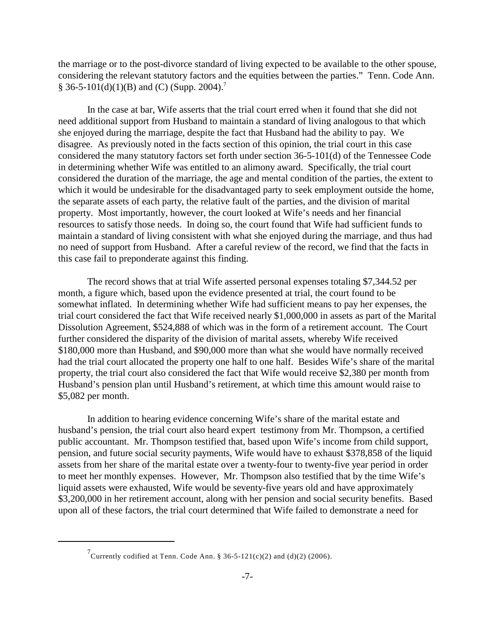the marriage or to the post-divorce standard of living expected to be available to the other spouse, considering the relevant statutory factors and the equities between the parties." Tenn. Code Ann. § 36-5-101(d)(1)(B) and (C) (Supp. 2004).<sup>7</sup>

In the case at bar, Wife asserts that the trial court erred when it found that she did not need additional support from Husband to maintain a standard of living analogous to that which she enjoyed during the marriage, despite the fact that Husband had the ability to pay. We disagree. As previously noted in the facts section of this opinion, the trial court in this case considered the many statutory factors set forth under section 36-5-101(d) of the Tennessee Code in determining whether Wife was entitled to an alimony award. Specifically, the trial court considered the duration of the marriage, the age and mental condition of the parties, the extent to which it would be undesirable for the disadvantaged party to seek employment outside the home, the separate assets of each party, the relative fault of the parties, and the division of marital property. Most importantly, however, the court looked at Wife's needs and her financial resources to satisfy those needs. In doing so, the court found that Wife had sufficient funds to maintain a standard of living consistent with what she enjoyed during the marriage, and thus had no need of support from Husband. After a careful review of the record, we find that the facts in this case fail to preponderate against this finding.

The record shows that at trial Wife asserted personal expenses totaling \$7,344.52 per month, a figure which, based upon the evidence presented at trial, the court found to be somewhat inflated. In determining whether Wife had sufficient means to pay her expenses, the trial court considered the fact that Wife received nearly \$1,000,000 in assets as part of the Marital Dissolution Agreement, \$524,888 of which was in the form of a retirement account. The Court further considered the disparity of the division of marital assets, whereby Wife received \$180,000 more than Husband, and \$90,000 more than what she would have normally received had the trial court allocated the property one half to one half. Besides Wife's share of the marital property, the trial court also considered the fact that Wife would receive \$2,380 per month from Husband's pension plan until Husband's retirement, at which time this amount would raise to \$5,082 per month.

In addition to hearing evidence concerning Wife's share of the marital estate and husband's pension, the trial court also heard expert testimony from Mr. Thompson, a certified public accountant. Mr. Thompson testified that, based upon Wife's income from child support, pension, and future social security payments, Wife would have to exhaust \$378,858 of the liquid assets from her share of the marital estate over a twenty-four to twenty-five year period in order to meet her monthly expenses. However, Mr. Thompson also testified that by the time Wife's liquid assets were exhausted, Wife would be seventy-five years old and have approximately \$3,200,000 in her retirement account, along with her pension and social security benefits. Based upon all of these factors, the trial court determined that Wife failed to demonstrate a need for

<sup>&</sup>lt;sup>7</sup> Currently codified at Tenn. Code Ann. § 36-5-121(c)(2) and (d)(2) (2006).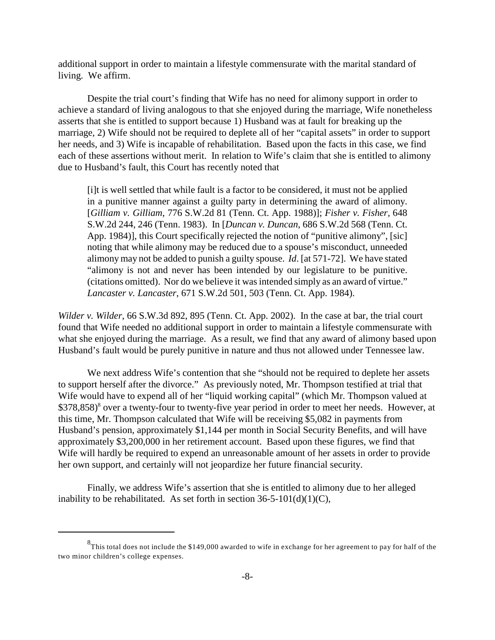additional support in order to maintain a lifestyle commensurate with the marital standard of living. We affirm.

Despite the trial court's finding that Wife has no need for alimony support in order to achieve a standard of living analogous to that she enjoyed during the marriage, Wife nonetheless asserts that she is entitled to support because 1) Husband was at fault for breaking up the marriage, 2) Wife should not be required to deplete all of her "capital assets" in order to support her needs, and 3) Wife is incapable of rehabilitation. Based upon the facts in this case, we find each of these assertions without merit. In relation to Wife's claim that she is entitled to alimony due to Husband's fault, this Court has recently noted that

[i]t is well settled that while fault is a factor to be considered, it must not be applied in a punitive manner against a guilty party in determining the award of alimony. [*Gilliam v. Gilliam*, 776 S.W.2d 81 (Tenn. Ct. App. 1988)]; *Fisher v. Fisher,* 648 S.W.2d 244, 246 (Tenn. 1983). In [*Duncan v. Duncan*, 686 S.W.2d 568 (Tenn. Ct. App. 1984)], this Court specifically rejected the notion of "punitive alimony", [sic] noting that while alimony may be reduced due to a spouse's misconduct, unneeded alimonymay not be added to punish a guilty spouse. *Id*. [at 571-72]. We have stated "alimony is not and never has been intended by our legislature to be punitive. (citations omitted). Nor do we believe it was intended simply as an award of virtue." *Lancaster v. Lancaster*, 671 S.W.2d 501, 503 (Tenn. Ct. App. 1984).

*Wilder v. Wilder*, 66 S.W.3d 892, 895 (Tenn. Ct. App. 2002). In the case at bar, the trial court found that Wife needed no additional support in order to maintain a lifestyle commensurate with what she enjoyed during the marriage. As a result, we find that any award of alimony based upon Husband's fault would be purely punitive in nature and thus not allowed under Tennessee law.

We next address Wife's contention that she "should not be required to deplete her assets to support herself after the divorce." As previously noted, Mr. Thompson testified at trial that Wife would have to expend all of her "liquid working capital" (which Mr. Thompson valued at  $$378,858$ <sup>8</sup> over a twenty-four to twenty-five year period in order to meet her needs. However, at this time, Mr. Thompson calculated that Wife will be receiving \$5,082 in payments from Husband's pension, approximately \$1,144 per month in Social Security Benefits, and will have approximately \$3,200,000 in her retirement account. Based upon these figures, we find that Wife will hardly be required to expend an unreasonable amount of her assets in order to provide her own support, and certainly will not jeopardize her future financial security.

Finally, we address Wife's assertion that she is entitled to alimony due to her alleged inability to be rehabilitated. As set forth in section  $36-5-101(d)(1)(C)$ ,

 $^{8}$ This total does not include the \$149,000 awarded to wife in exchange for her agreement to pay for half of the two minor children's college expenses.